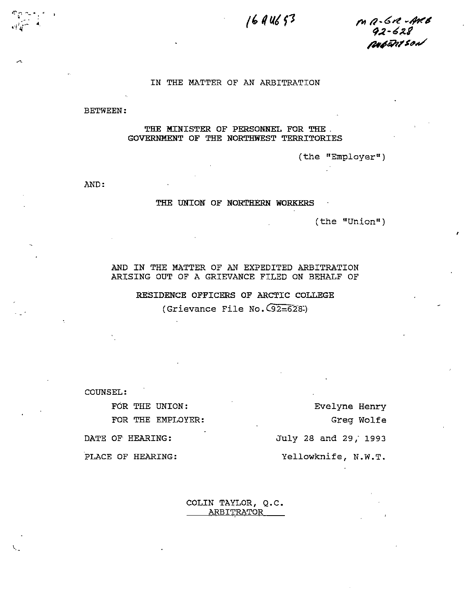# 16 A U6 53

 $m$   $a$ -6 $\alpha$ -Areb .<br>42-628<br><sub>P</sub>up<del>e</del>nt son

### IN THE MATTER OF AN ARBITRATION

BETWEEN:

#### THE MINISTER OF PERSONNEL FOR THE . GOVERNMENT OF THE NORTHWEST TERRITORIES

(the "Employer")

AND

#### THE UNION OF NORTHERN WORKERS

(the "Union")

AND IN THE MATTER OF AN EXPEDITED ARBITRATION ARISING OUT OF <sup>A</sup> GRIEVANCE FILED ON BEHALF OF

## RESIDENCE OFFICERS OF ARCTIC COLLEGE (Grievance File No.  $(92=628)$ )

COUNSEL:

FOR THE UNION: FOR THE EMPLOYER;

Evelyne Henry Greg Wolfe July 28 and 29/ 1993 Yellowknife, N.W.T.

DATE OF HEARING:

PLACE OF HEARING:

COLIN TAYLOR, Q.C. ARBITRATOR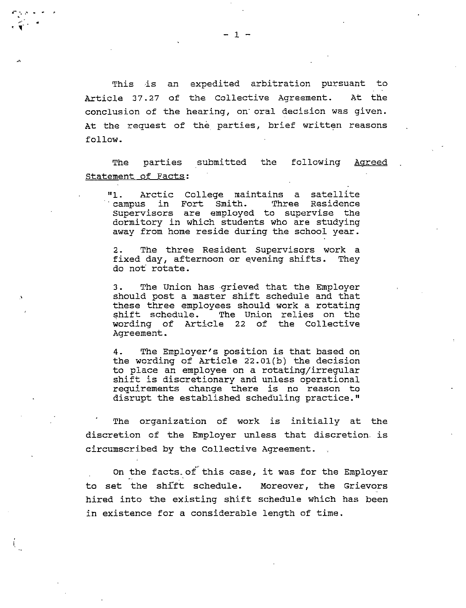This is an expedited arbitration pursuant to Article 27.21 of the Collective Agreement. At the conclusion of the hearing, on' oral decision was given. At the request of the parties, brief written reasons follow.

The parties submitted the following Agreed Statement of Facts;

"1. Arctic College maintains <sup>a</sup> satellite campus in Fort Smith. Supervisors are employed to supervise the dormitory in which students who are studying away from home reside during the school year.

2. The three Resident Supervisors work <sup>a</sup> fixed day, afternoon or evening shifts. They do not rotate.

3. The Union has grieved that the Employer should post <sup>a</sup> master shift schedule and that these three employees should work <sup>a</sup> rotating shift schedule. The Union relies on the wording of Article 22 of the Collective Agreement.

4. The Employer's position is that based on the wording of Article 22.01(b) the decision to place an employee on <sup>a</sup> rotating/irregular shift is discretionary and unless operational requirements change there is no reason to disrupt the established scheduling practice."

The organization of work is initially at the discretion of the Employer unless that discretion- is circumscribed by the Collective Agreement.

On the facts. of this case, it was for the Employer to set the shift schedule. Moreover, the Grievors hired into the existing shift schedule which has been in existence for <sup>a</sup> considerable length of time.